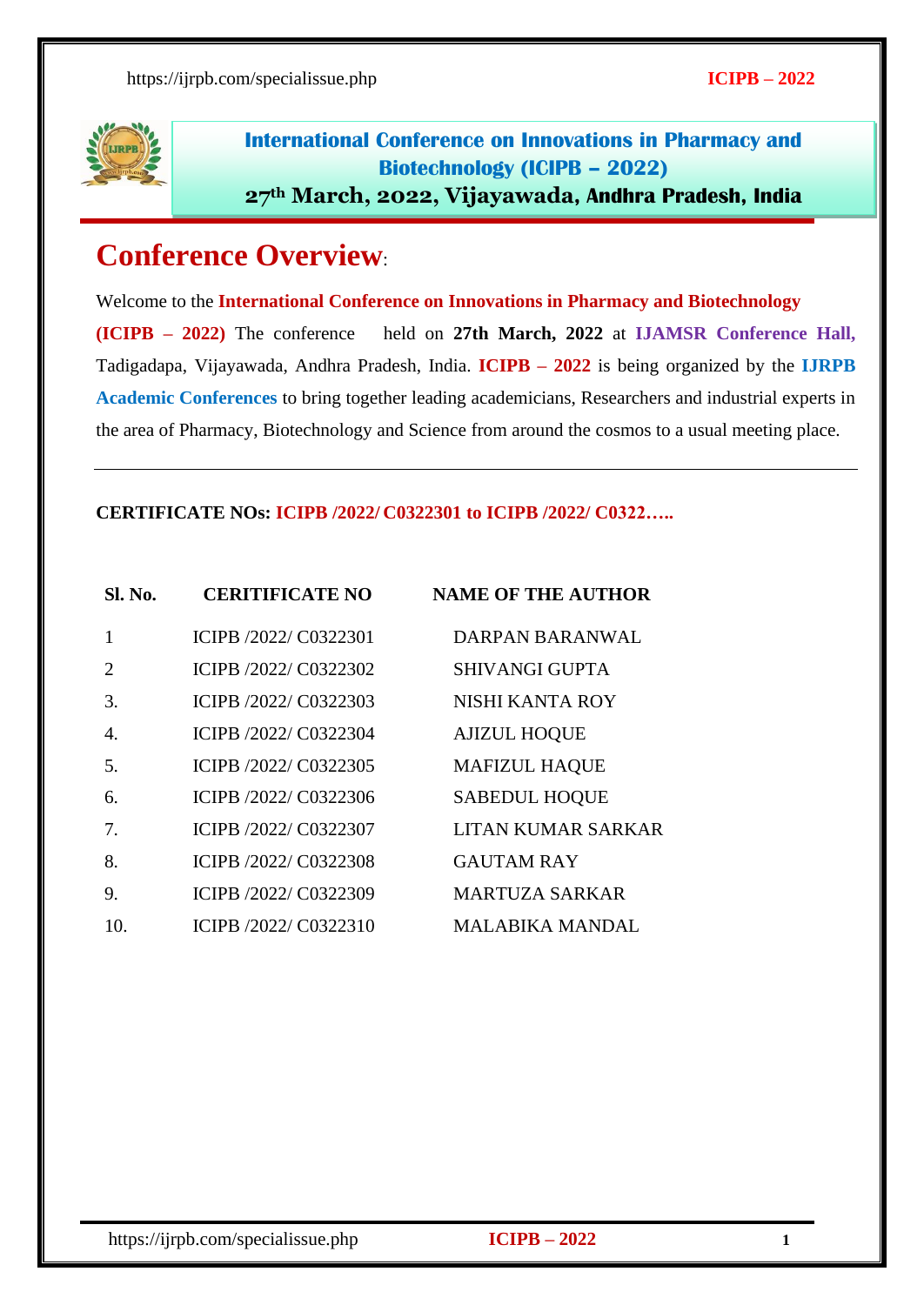

International Conference on Innovations in Pharmacy and Biotechnology (ICIPB – 2022) **27th March, 2022, Vijayawada**, Andhra Pradesh, India

# **Conference Overview**:

Welcome to the **International Conference on Innovations in Pharmacy and Biotechnology (ICIPB – 2022)** The conference held on **27th March, 2022** at **IJAMSR Conference Hall,** Tadigadapa, Vijayawada, Andhra Pradesh, India. **ICIPB – 2022** is being organized by the **IJRPB Academic Conferences** to bring together leading academicians, Researchers and industrial experts in the area of Pharmacy, Biotechnology and Science from around the cosmos to a usual meeting place.

#### **CERTIFICATE NOs: ICIPB /2022/ C0322301 to ICIPB /2022/ C0322…..**

| Sl. No.                     | <b>CERITIFICATE NO</b> | <b>NAME OF THE AUTHOR</b> |
|-----------------------------|------------------------|---------------------------|
|                             | ICIPB /2022/ C0322301  | <b>DARPAN BARANWAL</b>    |
| $\mathcal{D}_{\mathcal{L}}$ | ICIPB /2022/ C0322302  | <b>SHIVANGI GUPTA</b>     |
| 3.                          | ICIPB /2022/ C0322303  | NISHI KANTA ROY           |
| 4.                          | ICIPB /2022/ C0322304  | <b>AJIZUL HOQUE</b>       |
| 5.                          | ICIPB /2022/ C0322305  | <b>MAFIZUL HAQUE</b>      |
| 6.                          | ICIPB /2022/ C0322306  | <b>SABEDUL HOQUE</b>      |
| 7.                          | ICIPB /2022/ C0322307  | LITAN KUMAR SARKAR        |
| 8.                          | ICIPB /2022/ C0322308  | <b>GAUTAM RAY</b>         |
| 9.                          | ICIPB /2022/ C0322309  | <b>MARTUZA SARKAR</b>     |
| 10.                         | ICIPB /2022/ C0322310  | <b>MALABIKA MANDAL</b>    |